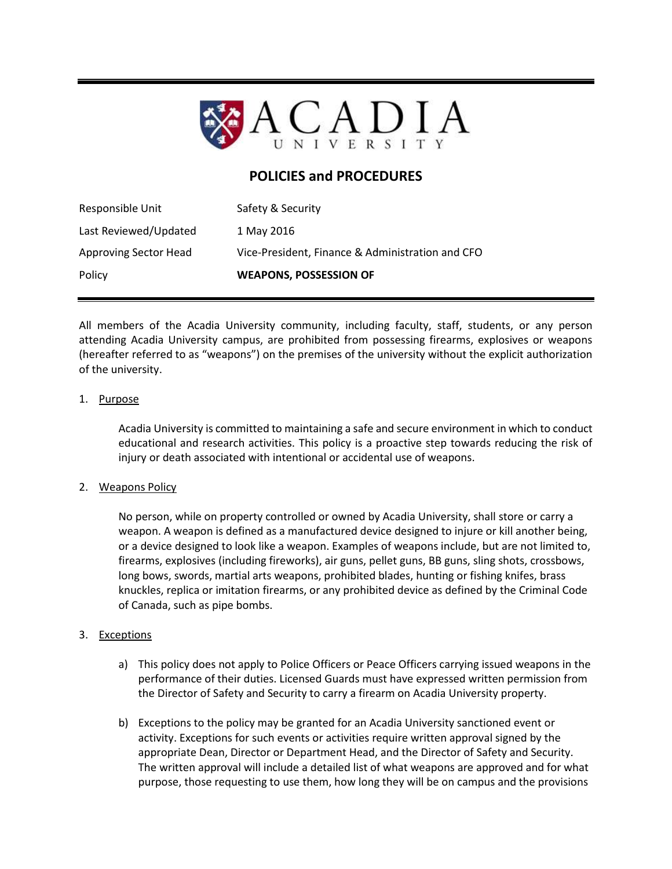

# **POLICIES and PROCEDURES**

| Safety & Security                                |
|--------------------------------------------------|
| 1 May 2016                                       |
| Vice-President, Finance & Administration and CFO |
| <b>WEAPONS, POSSESSION OF</b>                    |
|                                                  |

All members of the Acadia University community, including faculty, staff, students, or any person attending Acadia University campus, are prohibited from possessing firearms, explosives or weapons (hereafter referred to as "weapons") on the premises of the university without the explicit authorization of the university.

## 1. Purpose

Acadia University is committed to maintaining a safe and secure environment in which to conduct educational and research activities. This policy is a proactive step towards reducing the risk of injury or death associated with intentional or accidental use of weapons.

## 2. Weapons Policy

No person, while on property controlled or owned by Acadia University, shall store or carry a weapon. A weapon is defined as a manufactured device designed to injure or kill another being, or a device designed to look like a weapon. Examples of weapons include, but are not limited to, firearms, explosives (including fireworks), air guns, pellet guns, BB guns, sling shots, crossbows, long bows, swords, martial arts weapons, prohibited blades, hunting or fishing knifes, brass knuckles, replica or imitation firearms, or any prohibited device as defined by the Criminal Code of Canada, such as pipe bombs.

## 3. Exceptions

- a) This policy does not apply to Police Officers or Peace Officers carrying issued weapons in the performance of their duties. Licensed Guards must have expressed written permission from the Director of Safety and Security to carry a firearm on Acadia University property.
- b) Exceptions to the policy may be granted for an Acadia University sanctioned event or activity. Exceptions for such events or activities require written approval signed by the appropriate Dean, Director or Department Head, and the Director of Safety and Security. The written approval will include a detailed list of what weapons are approved and for what purpose, those requesting to use them, how long they will be on campus and the provisions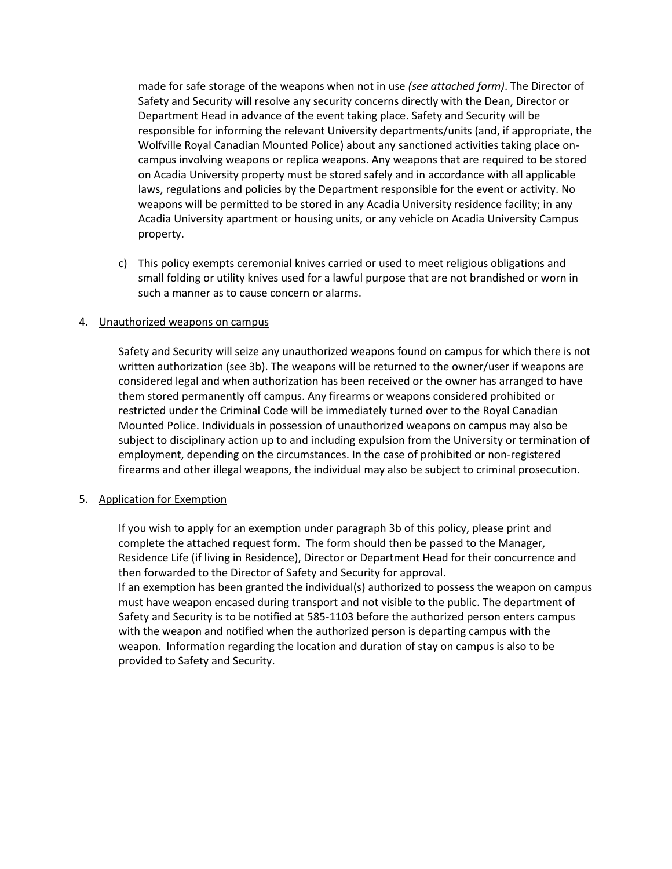made for safe storage of the weapons when not in use *(see attached form)*. The Director of Safety and Security will resolve any security concerns directly with the Dean, Director or Department Head in advance of the event taking place. Safety and Security will be responsible for informing the relevant University departments/units (and, if appropriate, the Wolfville Royal Canadian Mounted Police) about any sanctioned activities taking place oncampus involving weapons or replica weapons. Any weapons that are required to be stored on Acadia University property must be stored safely and in accordance with all applicable laws, regulations and policies by the Department responsible for the event or activity. No weapons will be permitted to be stored in any Acadia University residence facility; in any Acadia University apartment or housing units, or any vehicle on Acadia University Campus property.

c) This policy exempts ceremonial knives carried or used to meet religious obligations and small folding or utility knives used for a lawful purpose that are not brandished or worn in such a manner as to cause concern or alarms.

## 4. Unauthorized weapons on campus

Safety and Security will seize any unauthorized weapons found on campus for which there is not written authorization (see 3b). The weapons will be returned to the owner/user if weapons are considered legal and when authorization has been received or the owner has arranged to have them stored permanently off campus. Any firearms or weapons considered prohibited or restricted under the Criminal Code will be immediately turned over to the Royal Canadian Mounted Police. Individuals in possession of unauthorized weapons on campus may also be subject to disciplinary action up to and including expulsion from the University or termination of employment, depending on the circumstances. In the case of prohibited or non-registered firearms and other illegal weapons, the individual may also be subject to criminal prosecution.

#### 5. Application for Exemption

If you wish to apply for an exemption under paragraph 3b of this policy, please print and complete the attached request form. The form should then be passed to the Manager, Residence Life (if living in Residence), Director or Department Head for their concurrence and then forwarded to the Director of Safety and Security for approval.

If an exemption has been granted the individual(s) authorized to possess the weapon on campus must have weapon encased during transport and not visible to the public. The department of Safety and Security is to be notified at 585-1103 before the authorized person enters campus with the weapon and notified when the authorized person is departing campus with the weapon. Information regarding the location and duration of stay on campus is also to be provided to Safety and Security.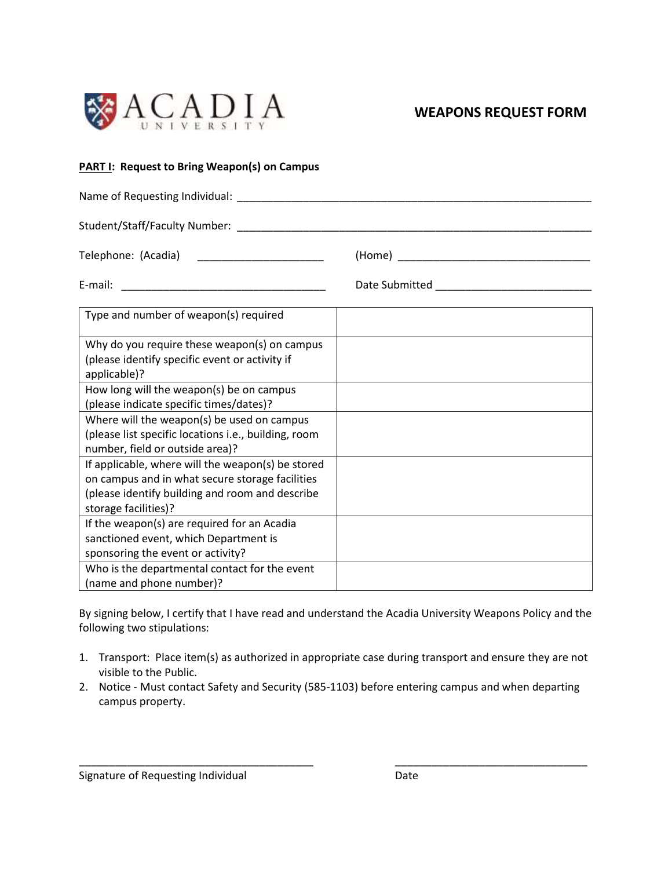

## **PART I: Request to Bring Weapon(s) on Campus**

| Telephone: (Acadia) __________________________                                                                                                                                  |                                                                                                                                                                                                                                |
|---------------------------------------------------------------------------------------------------------------------------------------------------------------------------------|--------------------------------------------------------------------------------------------------------------------------------------------------------------------------------------------------------------------------------|
|                                                                                                                                                                                 | Date Submitted and the Submitted of the Submitted of the Submitted of the Submitted of the Submitted of the Submitted of the Submitted of the Submitted of the Submitted of the Submitted of the Submitted of the Submitted of |
| Type and number of weapon(s) required                                                                                                                                           |                                                                                                                                                                                                                                |
| Why do you require these weapon(s) on campus<br>(please identify specific event or activity if<br>applicable)?                                                                  |                                                                                                                                                                                                                                |
| How long will the weapon(s) be on campus<br>(please indicate specific times/dates)?                                                                                             |                                                                                                                                                                                                                                |
| Where will the weapon(s) be used on campus<br>(please list specific locations i.e., building, room<br>number, field or outside area)?                                           |                                                                                                                                                                                                                                |
| If applicable, where will the weapon(s) be stored<br>on campus and in what secure storage facilities<br>(please identify building and room and describe<br>storage facilities)? |                                                                                                                                                                                                                                |
| If the weapon(s) are required for an Acadia<br>sanctioned event, which Department is<br>sponsoring the event or activity?                                                       |                                                                                                                                                                                                                                |
| Who is the departmental contact for the event<br>(name and phone number)?                                                                                                       |                                                                                                                                                                                                                                |

By signing below, I certify that I have read and understand the Acadia University Weapons Policy and the following two stipulations:

- 1. Transport: Place item(s) as authorized in appropriate case during transport and ensure they are not visible to the Public.
- 2. Notice Must contact Safety and Security (585-1103) before entering campus and when departing campus property.

\_\_\_\_\_\_\_\_\_\_\_\_\_\_\_\_\_\_\_\_\_\_\_\_\_\_\_\_\_\_\_\_\_\_\_\_\_\_\_ \_\_\_\_\_\_\_\_\_\_\_\_\_\_\_\_\_\_\_\_\_\_\_\_\_\_\_\_\_\_\_\_

Signature of Requesting Individual Date